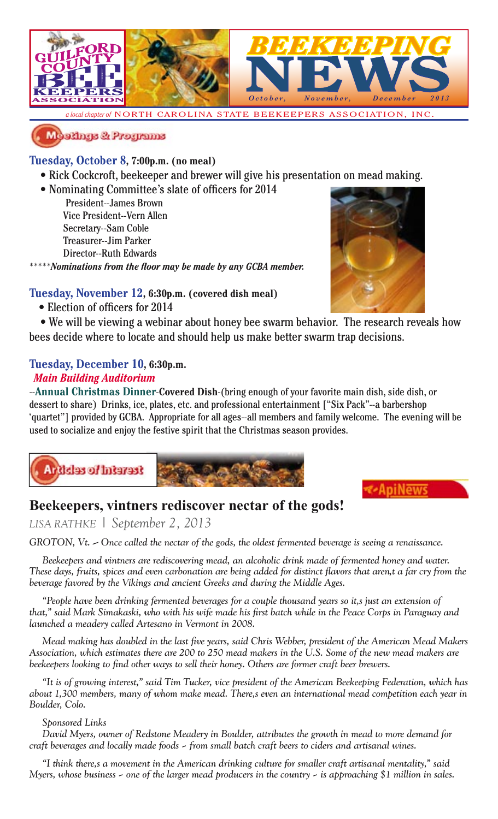

*a local chapter of* NORTH CAROLINA STATE BEEKEEPERS ASSOCIATION, INC.



### **Tuesday, October 8, 7:00p.m. (no meal)**

- Rick Cockcroft, beekeeper and brewer will give his presentation on mead making.
- Nominating Committee's slate of officers for 2014
	- President--James Brown Vice President--Vern Allen Secretary--Sam Coble Treasurer--Jim Parker Director--Ruth Edwards

\*\**Nominations from the floor may be made by any GCBA member.* 



### **Tuesday, November 12, 6:30p.m. (covered dish meal)**

• Election of officers for 2014

 • We will be viewing a webinar about honey bee swarm behavior. The research reveals how bees decide where to locate and should help us make better swarm trap decisions.

### **Tuesday, December 10, 6:30p.m.**

### *Main Building Auditorium*

--**Annual Christmas Dinner**-**Covered Dish**-(bring enough of your favorite main dish, side dish, or dessert to share) Drinks, ice, plates, etc. and professional entertainment ["Six Pack"--a barbershop 'quartet"] provided by GCBA. Appropriate for all ages--all members and family welcome. The evening will be used to socialize and enjoy the festive spirit that the Christmas season provides.



### **Beekeepers, vintners rediscover nectar of the gods!**

*LISA RATHKE | September 2, 2013*

*GROTON, Vt. — Once called the nectar of the gods, the oldest fermented beverage is seeing a renaissance.*

*Beekeepers and vintners are rediscovering mead, an alcoholic drink made of fermented honey and water.*  These days, fruits, spices and even carbonation are being added for distinct flavors that aren,t a far cry from the *beverage favored by the Vikings and ancient Greeks and during the Middle Ages.*

*"People have been drinking fermented beverages for a couple thousand years so it's just an extension of*  that," said Mark Simakaski, who with his wife made his first batch while in the Peace Corps in Paraguay and *launched a meadery called Artesano in Vermont in 2008.*

*Mead making has doubled in the last five years, said Chris Webber, president of the American Mead Makers Association, which estimates there are 200 to 250 mead makers in the U.S. Some of the new mead makers are beekeepers looking to find other ways to sell their honey. Others are former craft beer brewers.* 

*"It is of growing interest," said Tim Tucker, vice president of the American Beekeeping Federation, which has about 1,300 members, many of whom make mead. There's even an international mead competition each year in Boulder, Colo.*

#### *Sponsored Links*

*David Myers, owner of Redstone Meadery in Boulder, attributes the growth in mead to more demand for craft beverages and locally made foods – from small batch craft beers to ciders and artisanal wines.*

*"I think there's a movement in the American drinking culture for smaller craft artisanal mentality," said Myers, whose business – one of the larger mead producers in the country – is approaching \$1 million in sales.*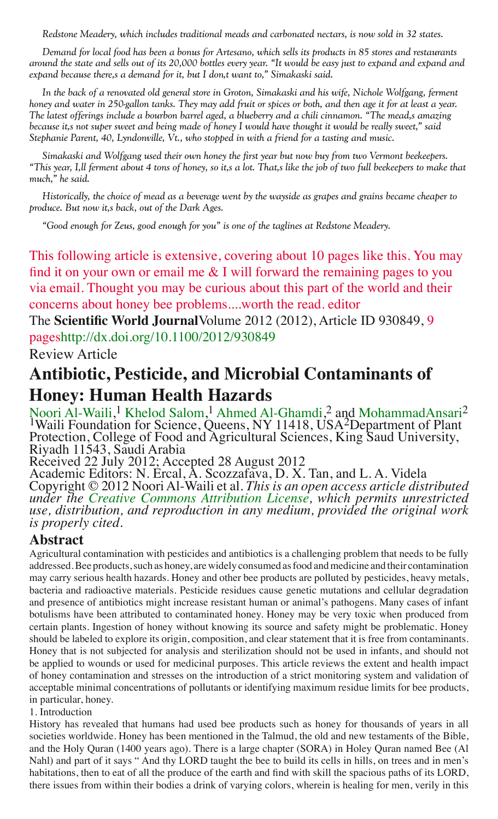*Redstone Meadery, which includes traditional meads and carbonated nectars, is now sold in 32 states.*

*Demand for local food has been a bonus for Artesano, which sells its products in 85 stores and restaurants around the state and sells out of its 20,000 bottles every year. "It would be easy just to expand and expand and expand because there's a demand for it, but I don't want to," Simakaski said.*

*In the back of a renovated old general store in Groton, Simakaski and his wife, Nichole Wolfgang, ferment honey and water in 250-gallon tanks. They may add fruit or spices or both, and then age it for at least a year.*  The latest offerings include a bourbon barrel aged, a blueberry and a chili cinnamon. "The mead,s amazing *because it's not super sweet and being made of honey I would have thought it would be really sweet," said Stephanie Parent, 40, Lyndonville, Vt., who stopped in with a friend for a tasting and music.*

*Simakaski and Wolfgang used their own honey the first year but now buy from two Vermont beekeepers. "This year, I'll ferment about 4 tons of honey, so it's a lot. That's like the job of two full beekeepers to make that much," he said.*

*Historically, the choice of mead as a beverage went by the wayside as grapes and grains became cheaper to produce. But now it's back, out of the Dark Ages.*

*"Good enough for Zeus, good enough for you" is one of the taglines at Redstone Meadery.*

This following article is extensive, covering about 10 pages like this. You may find it on your own or email me  $&$  I will forward the remaining pages to you via email. Thought you may be curious about this part of the world and their concerns about honey bee problems....worth the read. editor

The **Scientific World Journal**Volume 2012 (2012), Article ID 930849, 9 pageshttp://dx.doi.org/10.1100/2012/930849

Review Article

## **Antibiotic, Pesticide, and Microbial Contaminants of Honey: Human Health Hazards**

Noori Al-Waili, 1 Khelod Salom, 1 Ahmed Al-Ghamdi, 2 and MohammadAnsari2 <sup>1</sup>Waili Foundation for Science, Queens, NY 11418, USA<sup>2</sup>Department of Plant Protection, College of Food and Agricultural Sciences, King Saud University, Riyadh 11543, Saudi Arabia

Received 22 July 2012; Accepted 28 August 2012

Academic Editors: N. Ercal, A. Scozzafava, D. X. Tan, and L. A. Videla<br>Copyright © 2012 Noori Al-Waili et al. *This is an open access article distributed* under the Creative Commons Attribution License, which permits unrestricted<br>use, distribution, and reproduction in any medium, provided the original work *is properly cited.*

### **Abstract**

Agricultural contamination with pesticides and antibiotics is a challenging problem that needs to be fully addressed. Bee products, such as honey, are widely consumed as food and medicine and their contamination may carry serious health hazards. Honey and other bee products are polluted by pesticides, heavy metals, bacteria and radioactive materials. Pesticide residues cause genetic mutations and cellular degradation and presence of antibiotics might increase resistant human or animal's pathogens. Many cases of infant botulisms have been attributed to contaminated honey. Honey may be very toxic when produced from certain plants. Ingestion of honey without knowing its source and safety might be problematic. Honey should be labeled to explore its origin, composition, and clear statement that it is free from contaminants. Honey that is not subjected for analysis and sterilization should not be used in infants, and should not be applied to wounds or used for medicinal purposes. This article reviews the extent and health impact of honey contamination and stresses on the introduction of a strict monitoring system and validation of acceptable minimal concentrations of pollutants or identifying maximum residue limits for bee products, in particular, honey.

1. Introduction

History has revealed that humans had used bee products such as honey for thousands of years in all societies worldwide. Honey has been mentioned in the Talmud, the old and new testaments of the Bible, and the Holy Quran (1400 years ago). There is a large chapter (SORA) in Holey Quran named Bee (Al Nahl) and part of it says " And thy LORD taught the bee to build its cells in hills, on trees and in men's habitations, then to eat of all the produce of the earth and find with skill the spacious paths of its LORD, there issues from within their bodies a drink of varying colors, wherein is healing for men, verily in this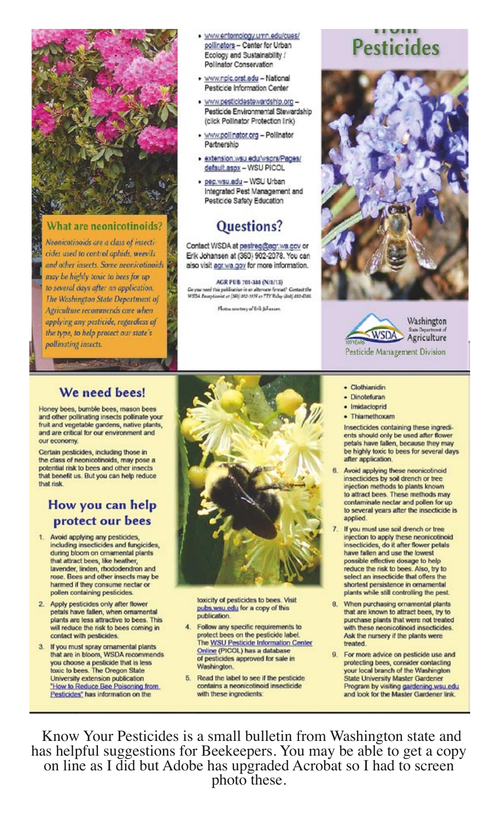

#### What are neonicotinoids?

Neonicotinoids are a class of insecticides used to control aphids, weevils and other insects. Some neonicotinoids may be highly toxic to bees for up to several days after an application. The Washington State Department of Agriculture recommends care when applying any pesticide, regardless of the type, to help protect our state's pollinating insects.

- · www.entomology.umn.edu/cues/ pollinators - Center for Urban Ecology and Sustainability / Polinator Conservation
- · www.npic.orst.edu National Pesticice Information Center
- · www.pesticidestewardship.org -Pesticide Environmental Stewardship (click Pollinator Protection link)
- · www.pollinator.org Pollinator Partnership
- · extension.wsu.edu/wsprs/Pages/ default.aspx - WSU PICOL
- · pep.wsu.edu WSU Urban Integrated Pest Management and Pesticide Safety Education

## Questions?

Contact WSDA at pestreg@agr.wa.gov.or Erik Johansen at (360) 902-2078. You can also visit agr.wa.gov for more information.

AGR PUB 701-388 (N/8/13) De you need this publication in an alternate format? Contast the<br>WSDA Receptionist at (388) 912-1976 or FTY Relay (808) 833-6381.

Photos courtesy of Erik Johanson

# **Pesticides**





· Clothianidin

· Dinotefuran · Imidacloprid

· Thiamethoxam

# Washington

### We need bees!

Honey bees, bumble bees, mason bees and other pollinating insects pollinate your fruit and vegetable gardens, native plants, and are critical for our environment and our economy

Certain pesticides, including those in the class of neonicotinoids, may pose a potential risk to bees and other insects that benefit us. But you can help reduce that risk

### How you can help protect our bees

- Avoid applying any pesticides, including insecticides and fungicides, during bloom on ornamental plants. that attract bees, like heather, lavender, linden, rhododendron and<br>rose. Bees and other insects may be harmed if they consume nectar or pollen containing pesticides
- 2. Apply pesticides only after flower petals have fallen, when ornamental plants are less attractive to bees. This will reduce the risk to bees coming in contact with pesticides
- $3.$ If you must spray ornamental plants that are in bloom, WSDA recommends you choose a pesticide that is less toxic to bees. The Oregon State University extension publication "How to Reduce Bee Poisoning from Pesticides" has information on the



toxicity of pesticides to bees. Visit pubs wsu.edu for a copy of this publication

- 4. Follow any specific requirements to protect bees on the pesticide label.<br>The WSU Pesticide Information Center Online (PICOL) has a database of pesticides approved for sale in Washington.
- 5. Read the label to see if the pesticide. contains a neonicotinoid insecticide with these ingredients:

ents should only be used after flower petals have fallen, because they may be highly toxic to bees for several days after application. Avoid applying these neonicotinoid 6. insecticides by soil drench or tree injection methods to plants known to attract bees. These methods may

contaminate nectar and pollen for up

Insecticides containing these ingredi-

- to several years after the insecticide is applied. If you must use soil drench or tree  $\overline{I}$ . injection to apply these neonicotinoid insecticides, do it after flower petals have fallen and use the lowest possible effective dosage to help reduce the risk to bees. Also, try to select an insecticide that offers the shortest persistence in ornamental
- plants while still controlling the pest. 8. When purchasing ornamental plants that are known to attract bees, try to purchase plants that were not treated with these neonicotinoid insecticides. Ask the nursery if the plants were treated.
- 9. For more advice on pesticide use and protecting bees, consider contacting your local branch of the Washington **State University Master Gardener** Program by visiting gardening.wsu.edu and look for the Master Gardener link.

Know Your Pesticides is a small bulletin from Washington state and has helpful suggestions for Beekeepers. You may be able to get a copy on line as I did but Adobe has upgraded Acrobat so I had to screen photo these.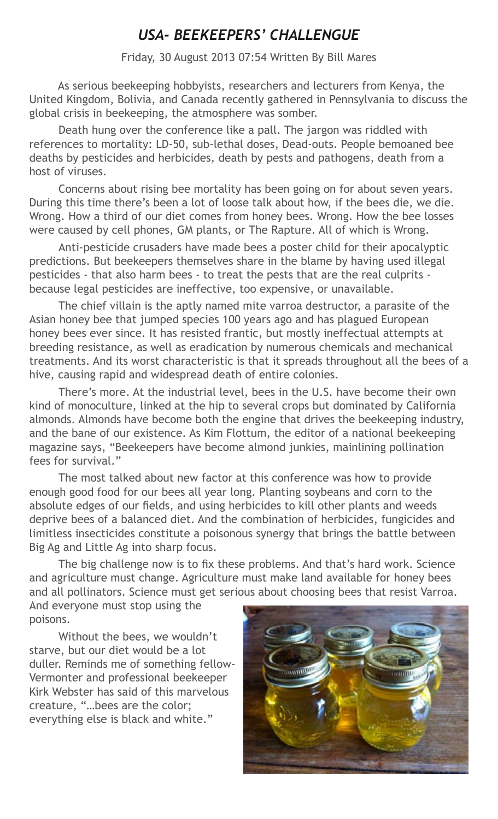## *USA- BEEKEEPERS' CHALLENGUE*

#### Friday, 30 August 2013 07:54 Written By Bill Mares

As serious beekeeping hobbyists, researchers and lecturers from Kenya, the United Kingdom, Bolivia, and Canada recently gathered in Pennsylvania to discuss the global crisis in beekeeping, the atmosphere was somber.

Death hung over the conference like a pall. The jargon was riddled with references to mortality: LD-50, sub-lethal doses, Dead-outs. People bemoaned bee deaths by pesticides and herbicides, death by pests and pathogens, death from a host of viruses.

Concerns about rising bee mortality has been going on for about seven years. During this time there's been a lot of loose talk about how, if the bees die, we die. Wrong. How a third of our diet comes from honey bees. Wrong. How the bee losses were caused by cell phones, GM plants, or The Rapture. All of which is Wrong.

Anti-pesticide crusaders have made bees a poster child for their apocalyptic predictions. But beekeepers themselves share in the blame by having used illegal pesticides - that also harm bees - to treat the pests that are the real culprits because legal pesticides are ineffective, too expensive, or unavailable.

The chief villain is the aptly named mite varroa destructor, a parasite of the Asian honey bee that jumped species 100 years ago and has plagued European honey bees ever since. It has resisted frantic, but mostly ineffectual attempts at breeding resistance, as well as eradication by numerous chemicals and mechanical treatments. And its worst characteristic is that it spreads throughout all the bees of a hive, causing rapid and widespread death of entire colonies.

There's more. At the industrial level, bees in the U.S. have become their own kind of monoculture, linked at the hip to several crops but dominated by California almonds. Almonds have become both the engine that drives the beekeeping industry, and the bane of our existence. As Kim Flottum, the editor of a national beekeeping magazine says, "Beekeepers have become almond junkies, mainlining pollination fees for survival."

The most talked about new factor at this conference was how to provide enough good food for our bees all year long. Planting soybeans and corn to the absolute edges of our fields, and using herbicides to kill other plants and weeds deprive bees of a balanced diet. And the combination of herbicides, fungicides and limitless insecticides constitute a poisonous synergy that brings the battle between Big Ag and Little Ag into sharp focus.

The big challenge now is to fix these problems. And that's hard work. Science and agriculture must change. Agriculture must make land available for honey bees and all pollinators. Science must get serious about choosing bees that resist Varroa.

And everyone must stop using the poisons.

Without the bees, we wouldn't starve, but our diet would be a lot duller. Reminds me of something fellow-Vermonter and professional beekeeper Kirk Webster has said of this marvelous creature, "…bees are the color; everything else is black and white."

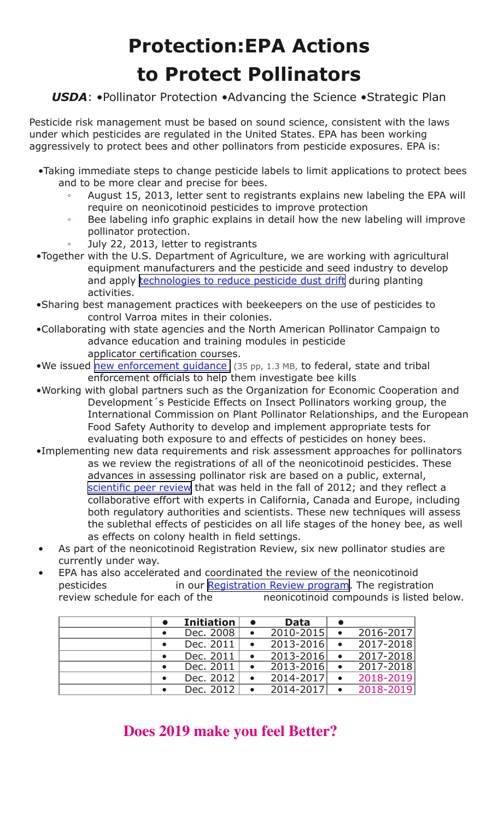# **Protection:EPA Actions to Protect Pollinators**

### *USDA*: •Pollinator Protection •Advancing the Science •Strategic Plan

Pesticide risk management must be based on sound science, consistent with the laws under which pesticides are regulated in the United States. EPA has been working aggressively to protect bees and other pollinators from pesticide exposures. EPA is:

- •Taking immediate steps to change pesticide labels to limit applications to protect bees and to be more clear and precise for bees.
	- August 15, 2013, letter sent to registrants explains new labeling the EPA will require on neonicotinoid pesticides to improve protection
	- Bee labeling info graphic explains in detail how the new labeling will improve pollinator protection.
	- July 22, 2013, letter to registrants
- •Together with the U.S. Department of Agriculture, we are working with agricultural equipment manufacturers and the pesticide and seed industry to develop and apply [technologies to reduce pesticide dust drift](http://www.epa.gov/oppfead1/cb/csb_page/updates/2013/pollin-summit.html) during planting activities.
- •Sharing best management practices with beekeepers on the use of pesticides to control Varroa mites in their colonies.
- •Collaborating with state agencies and the North American Pollinator Campaign to advance education and training modules in pesticide applicator certification courses.
- •We issued new enforcement quidance (35 pp, 1.3 MB, to federal, state and tribal enforcement officials to help them investigate bee kills
- •Working with global partners such as the Organization for Economic Cooperation and Development´s Pesticide Effects on Insect Pollinators working group, the International Commission on Plant Pollinator Relationships, and the European Food Safety Authority to develop and implement appropriate tests for evaluating both exposure to and effects of pesticides on honey bees.
- •Implementing new data requirements and risk assessment approaches for pollinators as we review the registrations of all of the neonicotinoid pesticides. These advances in assessing pollinator risk are based on a public, external, [scientific peer review](http://www.epa.gov/scipoly/sap/meetings/2012/091112meeting.html) that was held in the fall of 2012; and they reflect a collaborative effort with experts in California, Canada and Europe, including both regulatory authorities and scientists. These new techniques will assess the sublethal effects of pesticides on all life stages of the honey bee, as well as effects on colony health in field settings.
- As part of the neonicotinoid Registration Review, six new pollinator studies are currently under way.
- EPA has also accelerated and coordinated the review of the neonicotinoid pesticides in our [Registration Review program](http://www.epa.gov/oppsrrd1/registration_review/index.htm). The registration review schedule for each of the neonicotinoid compounds is listed below.

|           | <b>Initiation</b> |           | <b>Data</b> |           |           |
|-----------|-------------------|-----------|-------------|-----------|-----------|
| $\bullet$ | Dec. 2008         | $\bullet$ | 2010-2015   |           | 2016-2017 |
|           | Dec. 2011         |           | 2013-2016   |           | 2017-2018 |
|           | Dec. 2011         |           | 2013-2016   | $\bullet$ | 2017-2018 |
| $\bullet$ | Dec. 2011         | $\bullet$ | 2013-2016   | $\bullet$ | 2017-2018 |
| $\bullet$ | Dec. 2012         | $\bullet$ | 2014-2017   | $\bullet$ | 2018-2019 |
|           | Dec. 2012         |           | 2014-2017   |           | 2018-2019 |

## **Does 2019 make you feel Better?**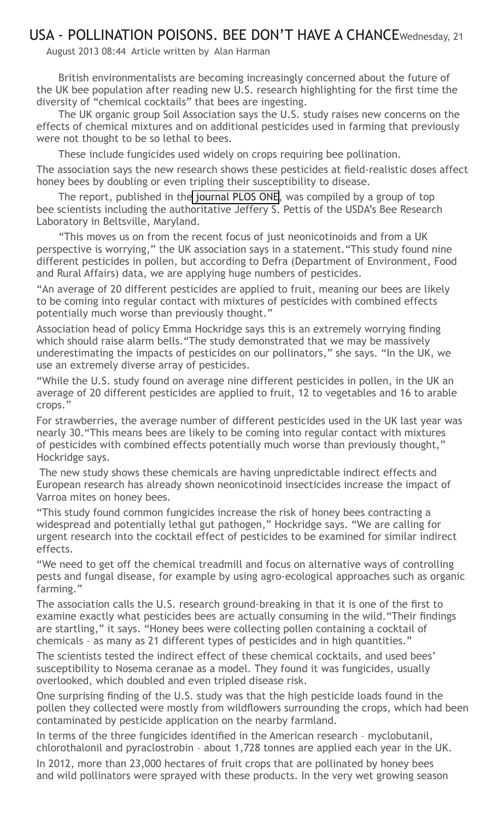### USA - POLLINATION POISONS. BEE DON'T HAVE A CHANCEWednesday, 21

August 2013 08:44 Article written by Alan Harman

British environmentalists are becoming increasingly concerned about the future of the UK bee population after reading new U.S. research highlighting for the first time the diversity of "chemical cocktails" that bees are ingesting.

The UK organic group Soil Association says the U.S. study raises new concerns on the effects of chemical mixtures and on additional pesticides used in farming that previously were not thought to be so lethal to bees.

These include fungicides used widely on crops requiring bee pollination.

The association says the new research shows these pesticides at field-realistic doses affect honey bees by doubling or even tripling their susceptibility to disease.

The report, published in th[e journal PLOS ONE,](http://www.apinews.com/en/news/item/22684-usa-crop-pollination-exposes-honey-bees-to-pesticides-which-alters-their-susceptibility-to-the-gut-pathogen-nosema) was compiled by a group of top bee scientists including the authoritative Jeffery S. Pettis of the USDA's Bee Research Laboratory in Beltsville, Maryland.

"This moves us on from the recent focus of just neonicotinoids and from a UK perspective is worrying," the UK association says in a statement."This study found nine different pesticides in pollen, but according to Defra (Department of Environment, Food and Rural Affairs) data, we are applying huge numbers of pesticides.

"An average of 20 different pesticides are applied to fruit, meaning our bees are likely to be coming into regular contact with mixtures of pesticides with combined effects potentially much worse than previously thought."

Association head of policy Emma Hockridge says this is an extremely worrying finding which should raise alarm bells."The study demonstrated that we may be massively underestimating the impacts of pesticides on our pollinators," she says. "In the UK, we use an extremely diverse array of pesticides.

"While the U.S. study found on average nine different pesticides in pollen, in the UK an average of 20 different pesticides are applied to fruit, 12 to vegetables and 16 to arable crops."

For strawberries, the average number of different pesticides used in the UK last year was nearly 30."This means bees are likely to be coming into regular contact with mixtures of pesticides with combined effects potentially much worse than previously thought," Hockridge says.

 The new study shows these chemicals are having unpredictable indirect effects and European research has already shown neonicotinoid insecticides increase the impact of Varroa mites on honey bees.

"This study found common fungicides increase the risk of honey bees contracting a widespread and potentially lethal gut pathogen," Hockridge says. "We are calling for urgent research into the cocktail effect of pesticides to be examined for similar indirect effects.

"We need to get off the chemical treadmill and focus on alternative ways of controlling pests and fungal disease, for example by using agro-ecological approaches such as organic farming."

The association calls the U.S. research ground-breaking in that it is one of the first to examine exactly what pesticides bees are actually consuming in the wild."Their findings are startling," it says. "Honey bees were collecting pollen containing a cocktail of chemicals – as many as 21 different types of pesticides and in high quantities."

The scientists tested the indirect effect of these chemical cocktails, and used bees' susceptibility to Nosema ceranae as a model. They found it was fungicides, usually overlooked, which doubled and even tripled disease risk.

One surprising finding of the U.S. study was that the high pesticide loads found in the pollen they collected were mostly from wildflowers surrounding the crops, which had been contaminated by pesticide application on the nearby farmland.

In terms of the three fungicides identified in the American research – myclobutanil, chlorothalonil and pyraclostrobin – about 1,728 tonnes are applied each year in the UK. In 2012, more than 23,000 hectares of fruit crops that are pollinated by honey bees and wild pollinators were sprayed with these products. In the very wet growing season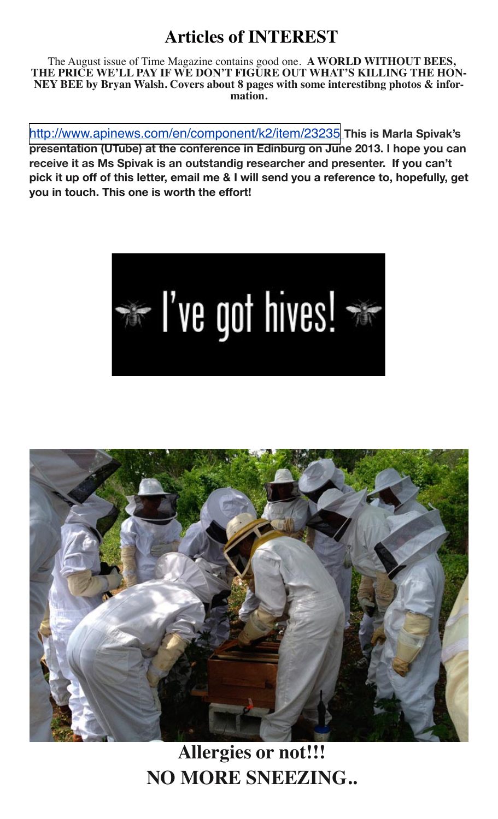## **Articles of INTEREST**

The August issue of Time Magazine contains good one. **A WORLD WITHOUT BEES, THE PRICE WE'LL PAY IF WE DON'T FIGURE OUT WHAT'S KILLING THE HON-NEY BEE by Bryan Walsh. Covers about 8 pages with some interestibng photos & infor- mation.**

<http://www.apinews.com/en/component/k2/item/23235> **This is Marla Spivak's presentation (UTube) at the conference in Edinburg on June 2013. I hope you can receive it as Ms Spivak is an outstandig researcher and presenter. If you can't pick it up off of this letter, email me & I will send you a reference to, hopefully, get you in touch. This one is worth the effort!**





**Allergies or not!!! NO MORE SNEEZING..**